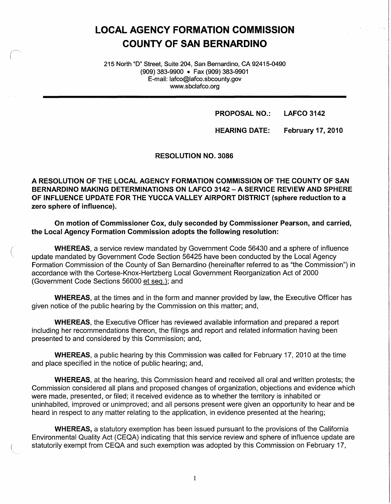# **LOCAL AGENCY FORMATION COMMISSION COUNTY OF SAN BERNARDINO**

215 North "D" Street, Suite 204, San Bernardino, CA 92415-0490 (909) 383-9900 • Fax (909) 383-9901 E-mail: lafco@lafco.sbcounty.gov www.sbclafco.org

> **PROPOSAL NO.: LAFCO 3142**

**HEARING DATE: February 17, 2010**  • I

RESOLUTION NO. 3086

**A RESOLUTION OF THE LOCAL AGENCY FORMATION COMMISSION OF THE COUNTY OF SAN BERNARDINO MAKING DETERMINATIONS ON LAFCO 3142 -A SERVICE REVIEW AND SPHERE OF INFLUENCE UPDATE FOR THE YUCCA VALLEY AIRPORT DISTRICT (sphere reduction to a zero sphere of influence).** 

**On motion of Commissioner Cox, duly seconded by Commissioner Pearson, and carried, the Local Agency Formation Commission adopts the following resolution:** 

**WHEREAS,** a service review mandated by Government Code 56430 and a sphere of influence update mandated by Government Code Section 56425 have been conducted by the Local Agency Formation Commission of the County of San Bernardino (hereinafter referred to as "the Commission") in accordance with the Cortese-Knox-Hertzberg Local Government Reorganization Act of 2000 (Government Code Sections 56000 et seq.): and

**WHEREAS,** at the times and in the form and manner provided by law, the Executive Officer has given notice of the public hearing by the Commission on this matter; and,

**WHEREAS,** the Executive Officer has reviewed available information and prepared a report including her recommendations thereon, the filings and report and related information having been presented to and considered by this Commission; and,

**WHEREAS,** a public hearing by this Commission was called for February 17, 2010 at the time and place specified in the notice of public hearing; and,

**WHEREAS,** at the hearing, this Commission heard and received all oral and written protests; the Commission considered all plans and proposed changes of organization, objections and evidence which were made, presented, or filed; it received evidence as to whether the territory is inhabited or uninhabited, improved or unimproved; and all persons present were given an opportunity to hear and be heard in respect to any matter relating to the application, in evidence presented at the hearing;

**WHEREAS,** a statutory exemption has been issued pursuant to the provisions of the California Environmental Quality Act (CEQA) indicating that this service review and sphere of influence update are statutorily exempt from CEQA and such exemption was adopted by this Commission on February 17,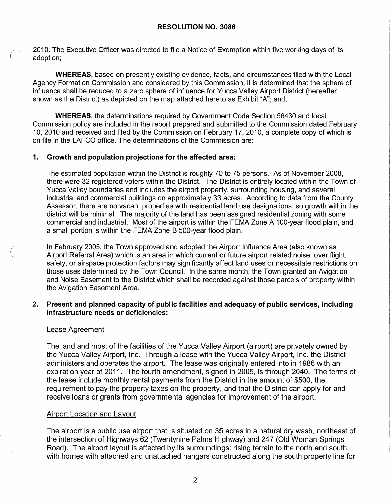2010. The Executive Officer was directed to file a Notice of Exemption within five working days of its adoption;

**WHEREAS,** based on presently existing evidence, facts, and circumstances filed with the Local Agency Formation Commission and considered by this Commission, it is determined that the sphere of influence shall be reduced to a zero sphere of influence for Yucca Valley Airport District (hereafter shown as the District) as depicted on the map attached hereto as Exhibit "A"; and,

**WHEREAS,** the determinations required by Government Code Section 56430 and local Commission policy are included in the report prepared and submitted to the Commission dated February 10, 2010 and received and filed by the Commission on February 17, 2010, a complete copy of which is on file in the LAFCO office. The determinations of the Commission are:

## **1. Growth and population projections for the affected area:**

The estimated population within the District is roughly 70 to 75 persons. As of November 2008, there were 32 registered voters within the District. The District is entirely located within the Town of Yucca Valley boundaries and includes the airport property, surrounding housing, and several industrial and commercial buildings on approximately 33 acres. According to data from the County Assessor, there are no vacant properties with residential land use designations, so growth within the district will be minimal. The majority of the land has been assigned residential zoning with some commercial and industrial. Most of the airport is within the FEMA Zone A 100-year flood plain, and a small portion is within the FEMA Zone B 500-year flood plain.

In February 2005, the Town approved and adopted the Airport Influence Area (also known as Airport Referral Area) which is an area in which current or future airport related noise, over flight, safety, or airspace protection factors may significantly affect land uses or necessitate restrictions on those uses determined by the Town Council. In the same month, the Town granted an Avigation and Noise Easement to the District which shall be recorded against those parcels of property within the Avigation Easement Area.

#### **2. Present and planned capacity of public facilities and adequacy of public services, including infrastructure needs or deficiencies:**

#### Lease Agreement

 $\bigcap$ 

(

The land and most of the facilities of the Yucca Valley Airport (airport) are privately owned by the Yucca Valley Airport, Inc. Through a lease with the Yucca Valley Airport, Inc. the District administers and operates the airport. The lease was originally entered into in 1986 with an expiration year of 2011. The fourth amendment, signed in 2005, is through 2040. The terms of the lease include monthly rental payments from the District in the amount of \$500, the requirement to pay the property taxes on the property, and that the District can apply for and receive loans or grants from governmental agencies for improvement of the airport.

#### Airport Location and Layout

The airport is a public use airport that is situated on 35 acres in a natural dry wash, northeast of the intersection of Highways 62 (Twentynine Palms Highway) and 247 (Old Woman Springs Road). The airport layout is affected by its surroundings: rising terrain to the north and south with homes with attached and unattached hangars constructed along the south property line for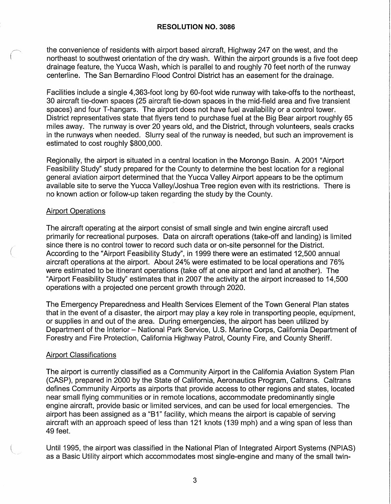the convenience of residents with airport based aircraft. Highway 247 on the west, and the northeast to southwest orientation of the dry wash. Within the airport grounds is a five foot deep drainage feature, the Yucca Wash, which is parallel to and roughly 70 feet north of the runway centerline. The San Bernardino Flood Control District has an easement for the drainage.

Facilities include a single 4,363-foot long by 60-foot wide runway with take-offs to the northeast, 30 aircraft tie-down spaces (25 aircraft tie-down spaces in the mid-field area and five transient spaces) and four T-hangars. The airport does not have fuel availability or a control tower. District representatives state that flyers tend to purchase fuel at the Big Bear airport roughly 65 miles away. The runway is over 20 years old, and the District, through volunteers, seals cracks in the runways when needed. Slurry seal of the runway is needed, but such an improvement is estimated to cost roughly \$800,000.

Regionally, the airport is situated in a central location in the Morongo Basin. A 2001 "Airport Feasibility Study" study prepared for the County to determine the best location for a regional general aviation airport determined that the Yucca Valley Airport appears to be the optimum available site to serve the Yucca Valley/Joshua Tree region even with its restrictions. There is no known action or follow-up taken regarding the study by the County.

#### Airport Operations

(

The aircraft operating at the airport consist of small single and twin engine aircraft used primarily for recreational purposes. Data on aircraft operations (take-off and landing) is limited since there is no control tower to record such data or on-site personnel for the District. According to the "Airport Feasibility Study", in 1999 there were an estimated 12,500 annual aircraft operations at the airport. About 24% were estimated to be local operations and 76% were estimated to be itinerant operations (take off at one airport and land at another). The "Airport Feasibility Study" estimates that in 2007 the activity at the airport increased to 14,500 operations with a projected one percent growth through 2020.

The Emergency Preparedness and Health Services Element of the Town General Plan states that in the event of a disaster, the airport may play a key role in transporting people, equipment, or supplies in and out of the area. During emergencies, the airport has been utilized by Department of the Interior - National Park Service, U.S. Marine Corps, California Department of Forestry and Fire Protection, California Highway Patrol, County Fire, and County Sheriff.

#### Airport Classifications

The airport is currently classified as a Community Airport in the California Aviation System Plan (CASP), prepared in 2000 by the State of California, Aeronautics Program, Caltrans. Caltrans defines Community Airports as airports that provide access to other regions and states, located near small flying communities or in remote locations, accommodate predominantly single engine aircraft, provide basic or limited services, and can be used for local emergencies. The airport has been assigned as a "81" facility, which means the airport is capable of serving aircraft with an approach speed of less than 121 knots (139 mph) and a wing span of less than 49 feet.

Until 1995, the airport was classified in the National Plan of Integrated Airport Systems (NPIAS) as a Basic Utility airport which accommodates most single-engine and many of the small twin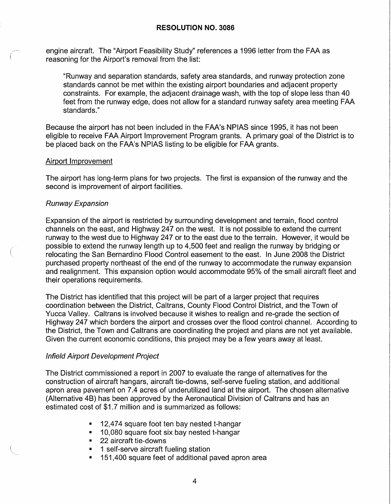engine aircraft. The "Airport Feasibility Study" references a 1996 letter from the FAA as reasoning for the Airport's removal from the list:

"Runway and separation standards, safety area standards, and runway protection zone standards cannot be met within the existing airport boundaries and adjacent property constraints. For example, the adjacent drainage wash, with the top of slope less than 40 feet from the runway edge, does not allow for a standard runway safety area meeting FAA standards."

Because the airport has not been included in the FAA's NPIAS since 1995, it has not been eligible to receive FAA Airport Improvement Program grants. A primary goal of the District is to be placed back on the FAA's NPIAS listing to be eligible for FAA grants.

#### Airport Improvement

The airport has long-term plans for two projects. The first is expansion of the runway and the second is improvement of airport facilities.

#### Runway Expansion

 $\left(\right)$ 

Expansion of the airport is restricted by surrounding development and terrain, flood control channels on the east, and Highway 247 on the west. It is not possible to extend the current runway to the west due to Highway 247 or to the east due to the terrain. However, it would be possible to extend the runway length up to 4,500 feet and realign the runway by bridging or relocating the San Bernardino Flood Control easement to the east. In June 2008 the District purchased property northeast of the end of the runway to accommodate the runway expansion and realignment. This expansion option would accommodate 95% of the small aircraft fleet and their operations requirements.

The District has identified that this project will be part of a larger project that requires coordination between the District, Caltrans, County Flood Control District, and the Town of Yucca Valley. Caltrans is involved because it wishes to realign and re-grade the section of Highway 247 which borders the airport and crosses over the flood control channel. According to the District, the Town and Caltrans are coordinating the project and plans are not yet available. Given the current economic conditions, this project may be a few years away at least.

#### Infield Airport Development Project

The District commissioned a report in 2007 to evaluate the range of alternatives for the construction of aircraft hangars, aircraft tie-downs, self-serve fueling station, and additional apron area pavement on 7.4 acres of underutilized land at the airport. The chosen alternative (Alternative 4B) has been approved by the Aeronautical Division of Caltrans and has an estimated cost of \$1.7 million and is summarized as follows:

- 12,474 square foot ten bay nested t-hangar
- 10,080 square foot six bay nested t-hangar
- 22 aircraft tie-downs
- 1 self-serve aircraft fueling station
- 151,400 square feet of additional paved apron area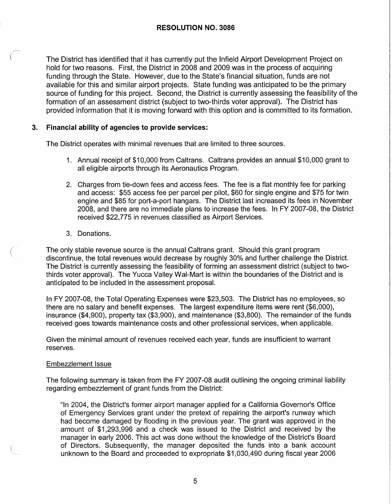The District has identified that it has currently put the Infield Airport Development Project on hold for two reasons. First, the District in 2008 and 2009 was in the process of acquiring funding through the State. However, due to the State's financial situation, funds are not available for this and similar airport projects. State funding was anticipated to be the primary source of funding for this project. Second, the District is currently assessing the feasibility of the formation of an assessment district (subject to two-thirds voter approval). The District has provided information that it is moving forward with this option and is committed to its formation.

### **3. Financial ability of agencies to provide services:**

The District operates with minimal revenues that are limited to three sources.

- 1. Annual receipt of \$10,000 from Caltrans. Caltrans provides an annual \$10,000 grant to all eligible airports through its Aeronautics Program.
- 2. Charges from tie-down fees and access fees. The fee is a flat monthly fee for parking and access: \$55 access fee per parcel per pilot, \$60 for single engine and \$75 for twin engine and \$85 for port-a-port hangars. The District last increased its fees in November 2008, and there are no immediate plans to increase the fees. In FY 2007-08, the District received \$22,775 in revenues classified as Airport Services.
- 3. Donations.

 $\bigl(\begin{smallmatrix} \cdot & \cdot \end{smallmatrix}$ 

The only stable revenue source is the annual Caltrans grant. Should this grant program discontinue, the total revenues would decrease by roughly 30% and further challenge the District. The District is currently assessing the feasibility of forming an assessment district (subject to twothirds voter approval). The Yucca Valley Wal-Mart is within the boundaries of the District and is anticipated to be included in the assessment proposal.

In FY 2007-08, the Total Operating Expenses were \$23,503. The District has no employees, so there are no salary and benefit expenses. The largest expenditure items were rent (\$6,000), insurance (\$4,900), property tax (\$3,900), and maintenance (\$3,800). The remainder of the funds received goes towards maintenance costs and other professional services, when applicable.

Given the minimal amount of revenues received each year, funds are insufficient to warrant reserves.

#### Embezzlement Issue

The following summary is taken from the FY 2007-08 audit outlining the ongoing criminal liability regarding embezzlement of grant funds from the District:

"In 2004, the District's former airport manager applied for a California Governor's Office of Emergency Services grant under the pretext of repairing the airport's runway which had become damaged by flooding in the previous year. The grant was approved in the amount of \$1,293,996 and a check was issued to the District and received by the manager in early 2006. This act was done without the knowledge of the District's Board of Directors. Subsequently, the manager deposited the funds into a bank account unknown to the Board and proceeded to expropriate \$1,030,490 during fiscal year 2006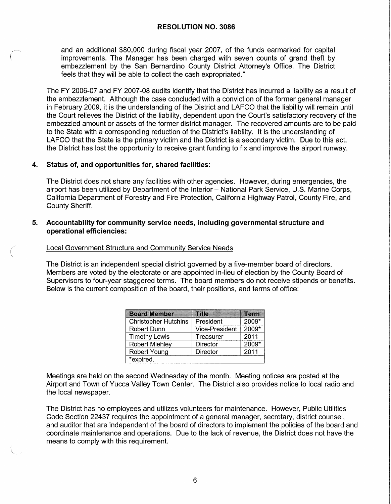and an additional \$80,000 during fiscal year 2007, of the funds earmarked for capital improvements. The Manager has been charged with seven counts of grand theft by embezzlement by the San Bernardino County District Attorney's Office. The District feels that they will be able to collect the cash expropriated."

The FY 2006-07 and FY 2007-08 audits identify that the District has incurred a liability as a result of the embezzlement. Although the case concluded with a conviction of the former general manager in February 2009, it is the understanding of the District and LAFCO that the liability will remain until the Court relieves the District of the liability, dependent upon the Court's satisfactory recovery of the embezzled amount or assets of the former district manager. The recovered amounts are to be paid to the State with a corresponding reduction of the District's liability. It is the understanding of LAFCO that the State is the primary victim and the District is a secondary victim. Due to this act, the District has lost the opportunity to receive grant funding to fix and improve the airport runway.

#### **4. Status of, and opportunities for, shared facilities:**

The District does not share any facilities with other agencies. However, during emergencies, the airport has been utilized by Department of the Interior - National Park Service, U.S. Marine Corps, California Department of Forestry and Fire Protection, California Highway Patrol, County Fire, and County Sheriff.

#### **5. Accountability for community service needs, including governmental structure and operational efficiencies:**

#### Local Government Structure and Community Service Needs

The District is an independent special district governed by a five-member board of directors. Members are voted by the electorate or are appointed in-lieu of election by the County Board of Supervisors to four-year staggered terms. The board members do not receive stipends or benefits. Below is the current composition of the board, their positions, and terms of office:

| <b>Board Member</b>         | <b>Title</b>          | Term  |  |  |
|-----------------------------|-----------------------|-------|--|--|
| <b>Christopher Hutchins</b> | President             | 2009* |  |  |
| Robert Dunn                 | <b>Vice-President</b> | 2009* |  |  |
| <b>Timothy Lewis</b>        | Treasurer             | 2011  |  |  |
| <b>Robert Miehley</b>       | <b>Director</b>       | 2009* |  |  |
| Robert Young                | <b>Director</b>       | 2011  |  |  |
| *expired.                   |                       |       |  |  |

Meetings are held on the second Wednesday of the month. Meeting notices are posted at the Airport and Town of Yucca Valley Town Center. The District also provides notice to local radio and the local newspaper.

The District has no employees and utilizes volunteers for maintenance. However, Public Utilities Code Section 22437 requires the appointment of a general manager, secretary, district counsel, and auditor that are independent of the board of directors to implement the policies of the board and coordinate maintenance and operations. Due to the lack of revenue, the District does not have the means to comply with this requirement.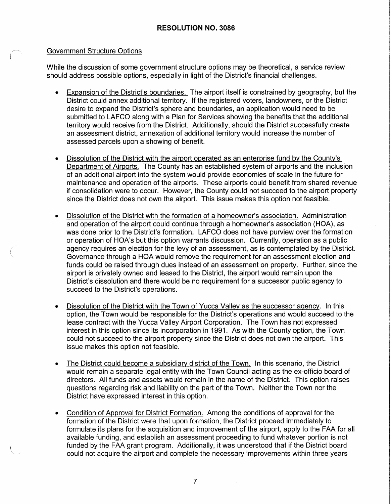#### Government Structure Options

(

While the discussion of some government structure options may be theoretical, a service review should address possible options, especially in light of the District's financial challenges.

- Expansion of the District's boundaries. The airport itself is constrained by geography, but the District could annex additional territory. If the registered voters, landowners, or the District desire to expand the District's sphere and boundaries, an application would need to be submitted to LAFCO along with a Plan for Services showing the benefits that the additional territory would receive from the District. Additionally, should the District successfully create an assessment district, annexation of additional territory would increase the number of assessed parcels upon a showing of benefit.
- Dissolution of the District with the airport operated as an enterprise fund by the County's Department of Airports. The County has an established system of airports and the inclusion of an additional airport into the system would provide economies of scale in the future for maintenance and operation of the airports. These airports could benefit from shared revenue if consolidation were to occur. However, the County could not succeed to the airport property since the District does not own the airport. This issue makes this option not feasible.
- Dissolution of the District with the formation of a homeowner's association. Administration and operation of the airport could continue through a homeowner's association (HOA), as was done prior to the District's formation. LAFCO does not have purview over the formation or operation of HOA's but this option warrants discussion. Currently, operation as a public agency requires an election for the levy of an assessment, as is contemplated by the District. Governance through a HOA would remove the requirement for an assessment election and funds could be raised through dues instead of an assessment on property. Further, since the airport is privately owned and leased to the District, the airport would remain upon the District's dissolution and there would be no requirement for a successor public agency to succeed to the District's operations.
- Dissolution of the District with the Town of Yucca Valley as the successor agency. In this option, the Town would be responsible for the District's operations and would succeed to the lease contract with the Yucca Valley Airport Corporation. The Town has not expressed interest in this option since its incorporation in 1991. As with the County option, the Town could not succeed to the airport property since the District does not own the airport. This issue makes this option not feasible.
- The District could become a subsidiary district of the Town. In this scenario, the District would remain a separate legal entity with the Town Council acting as the ex-officio board of directors. All funds and assets would remain in the name of the District. This option raises questions regarding risk and liability on the part of the Town. Neither the Town nor the District have expressed interest in this option.
- Condition of Approval for District Formation. Among the conditions of approval for the formation of the District were that upon formation, the District proceed immediately to formulate its plans for the acquisition and improvement of the airport, apply to the FAA for all available funding, and establish an assessment proceeding to fund whatever portion is not funded by the FAA grant program. Additionally, it was understood that if the District board could not acquire the airport and complete the necessary improvements within three years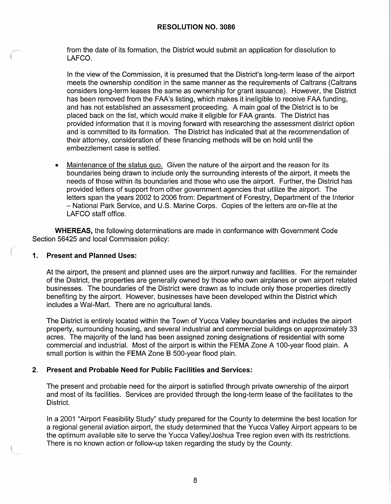from the date of its formation, the District would submit an application for dissolution to LAFCO.

In the view of the Commission, it is presumed that the District's long-term lease of the airport meets the ownership condition in the same manner as the requirements of Caltrans (Caltrans considers long-term leases the same as ownership for grant issuance). However, the District has been removed from the FAA's listing, which makes it ineligible to receive FAA funding, and has not established an assessment proceeding. A main goal of the District is to be placed back on the list, which would make it eligible for FAA grants. The District has provided information that it is moving forward with researching the assessment district option and is committed to its formation. The District has indicated that at the recommendation of their attorney, consideration of these financing methods will be on hold until the embezzlement case is settled.

• Maintenance of the status quo. Given the nature of the airport and the reason for its boundaries being drawn to include only the surrounding interests of the airport, it meets the needs of those within its boundaries and those who use the airport. Further, the District has provided letters of support from other government agencies that utilize the airport. The letters span the years 2002 to 2006 from: Department of Forestry, Department of the Interior - National Park Service, and U.S. Marine Corps. Copies of the letters are on-file at the LAFCO staff office.

**WHEREAS,** the following determinations are made in conformance with Government Code Section 56425 and local Commission policy:

#### **1. Present and Planned Uses:**

(

At the airport, the present and planned uses are the airport runway and facilities. For the remainder of the District, the properties are generally owned by those who own airplanes or own airport related businesses. The boundaries of the District were drawn as to include only those properties directly benefiting by the airport. However, businesses have been developed within the District which includes a Wal-Mart. There are no agricultural lands.

The District is entirely located within the Town of Yucca Valley boundaries and includes the airport property, surrounding housing, and several industrial and commercial buildings on approximately 33 acres. The majority of the land has been assigned zoning designations of residential with some commercial and industrial. Most of the airport is within the FEMA Zone A 100-year flood plain. A small portion is within the FEMA Zone B 500-year flood plain.

#### **2. Present and Probable Need for Public Facilities and Services:**

The present and probable need for the airport is satisfied through private ownership of the airport and most of its facilities. Services are provided through the long-term lease of the facilitates to the District.

In a 2001 "Airport Feasibility Study" study prepared for the County to determine the best location for a regional general aviation airport, the study determined that the Yucca Valley Airport appears to be the optimum available site to serve the Yucca Valley/Joshua Tree region even with its restrictions. There is no known action or follow-up taken regarding the study by the County.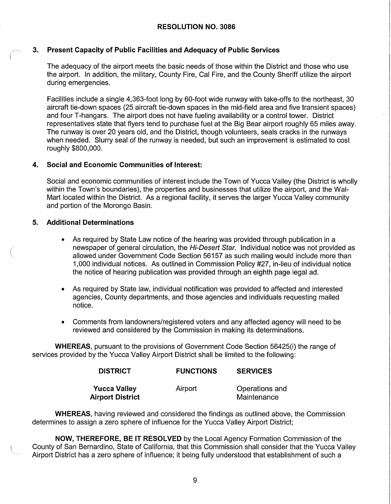#### **RESOLUTION NO. 3086**

#### **3. Present Capacity of Public Facilities and Adequacy of Public Services**

The adequacy of the airport meets the basic needs of those within the District and those who use the airport. In addition, the military, County Fire, Cal Fire, and the County Sheriff utilize the airport during emergencies.

Facilities include a single 4,363-foot long by 60-foot wide runway with take-offs to the northeast, 30 aircraft tie-down spaces (25 aircraft tie-down spaces in the mid-field area and five transient spaces) and four T-hangars. The airport does not have fueling availability or a control tower. District representatives state that flyers tend to purchase fuel at the Big Bear airport roughly 65 miles away. The runway is over 20 years old, and the District, though volunteers, seals cracks in the runways when needed. Slurry seal of the runway is needed, but such an improvement is estimated to cost roughly \$800,000.

### **4. Social and Economic Communities of Interest:**

Social and economic communities of interest include the Town of Yucca Valley (the District is wholly within the Town's boundaries), the properties and businesses that utilize the airport, and the Wal-Mart located within the District. As a regional facility, it serves the larger Yucca Valley community and portion of the Morongo Basin.

#### **5. Additional Determinations**

(

- As required by State Law notice of the hearing was provided through publication in a newspaper of general circulation, the Hi-Desert Star. Individual notice was not provided as allowed under Government Code Section 56157 as such mailing would include more than 1,000 individual notices. As outlined in Commission Policy #27, in-lieu of individual notice the notice of hearing publication was provided through an eighth page legal ad.
- As required by State law, individual notification was provided to affected and interested agencies, County departments, and those agencies and individuals requesting mailed notice.
- Comments from landowners/registered voters and any affected agency will need to be reviewed and considered by the Commission in making its determinations.

**WHEREAS,** pursuant to the provisions of Government Code Section 56425(i) the range of services provided by the Yucca Valley Airport District shall be limited to the following:

| <b>DISTRICT</b>     | <b>FUNCTIONS</b> | <b>SERVICES</b> |
|---------------------|------------------|-----------------|
| <b>Yucca Valley</b> | Airport          | Operations and  |
| Airport District    |                  | Maintenance     |

**WHEREAS,** having reviewed and considered the findings as outlined above, the Commission determines to assign a zero sphere of influence for the Yucca Valley Airport District;

**NOW, THEREFORE, BE IT RESOLVED** by the Local Agency Formation Commission of the County of San Bernardino, State of California, that this Commission shall consider that the Yucca Valley Airport District has a zero sphere of influence; it being fully understood that establishment of such a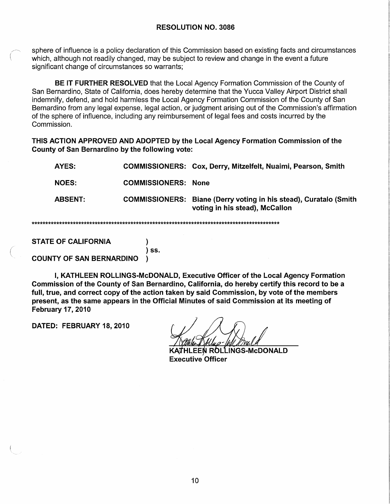sphere of influence is a policy declaration of this Commission based on existing facts and circumstances which, although not readily changed, may be subject to review and change in the event a future significant change of circumstances so warrants;

**BE IT FURTHER RESOLVED** that the Local Agency Formation Commission of the County of San Bernardino, State of California, does hereby determine that the Yucca Valley Airport District shall indemnify, defend, and hold harmless the Local Agency Formation Commission of the County of San Bernardino from any legal expense, legal action, or judgment arising out of the Commission's affirmation of the sphere of influence, including any reimbursement of legal fees and costs incurred by the Commission.

**THIS ACTION APPROVED AND ADOPTED by the Local Agency Formation Commission of the County of San Bernardino by the following vote:** 

|  | AYES:          |                            | <b>COMMISSIONERS: Cox, Derry, Mitzelfelt, Nuaimi, Pearson, Smith</b>                                       |  |
|--|----------------|----------------------------|------------------------------------------------------------------------------------------------------------|--|
|  | <b>NOES:</b>   | <b>COMMISSIONERS: None</b> |                                                                                                            |  |
|  | <b>ABSENT:</b> |                            | <b>COMMISSIONERS:</b> Biane (Derry voting in his stead), Curatalo (Smith<br>voting in his stead), McCallon |  |
|  |                |                            |                                                                                                            |  |

**STATE OF CALIFORNIA** )

(

**COUNTY OF SAN BERNARDINO** )

I, **KATHLEEN ROLLINGS-McDONALD, Executive Officer of the Local Agency Formation Commission of the County of San Bernardino, California, do hereby certify this record to be a full, true, and correct copy of the action taken by said Commission, by vote of the members**  present, as the same appears in the Official Minutes of said Commission at its meeting of **February 17, 2010** 

) **ss.** 

**DATED: FEBRUARY 18, 2010** 

**∦HLEEN ROLLINGS-McDONALD Executive Officer**